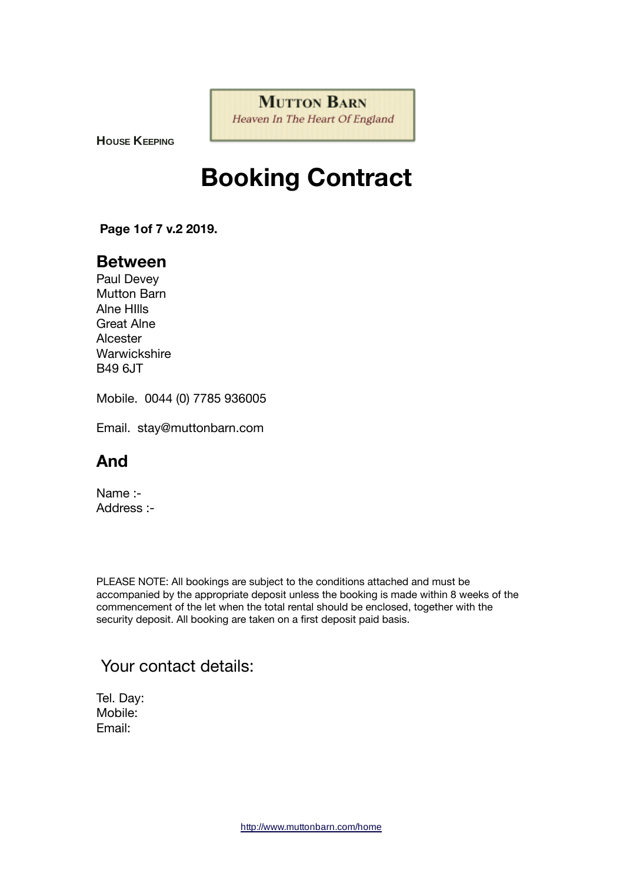**MUTTON BARN** Heaven In The Heart Of England

**HOUSE KEEPING**

# **Booking Contract**

 **Page 1of 7 v.2 2019.**

## **Between**

Paul Devey Mutton Barn Alne HIlls Great Alne Alcester **Warwickshire** B49 6JT

Mobile. 0044 (0) 7785 936005

Email. stay@muttonbarn.com

# **And**

Name :- Address :-

PLEASE NOTE: All bookings are subject to the conditions attached and must be accompanied by the appropriate deposit unless the booking is made within 8 weeks of the commencement of the let when the total rental should be enclosed, together with the security deposit. All booking are taken on a first deposit paid basis.

## Your contact details:

Tel. Day: Mobile: Email: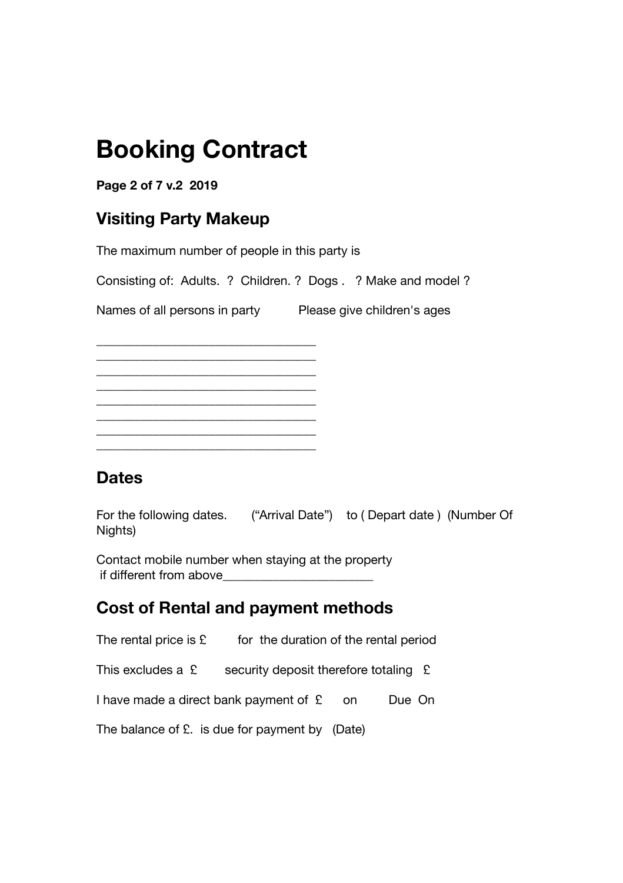# **Booking Contract**

## **Page 2 of 7 v.2 2019**

# **Visiting Party Makeup**

The maximum number of people in this party is

Consisting of: Adults. ? Children. ? Dogs . ? Make and model ?

Names of all persons in party Please give children's ages

\_\_\_\_\_\_\_\_\_\_\_\_\_\_\_\_\_\_\_\_\_\_\_\_\_\_\_\_\_\_\_\_\_\_\_ \_\_\_\_\_\_\_\_\_\_\_\_\_\_\_\_\_\_\_\_\_\_\_\_\_\_\_\_\_\_\_\_\_\_\_ \_\_\_\_\_\_\_\_\_\_\_\_\_\_\_\_\_\_\_\_\_\_\_\_\_\_\_\_\_\_\_\_\_\_\_ \_\_\_\_\_\_\_\_\_\_\_\_\_\_\_\_\_\_\_\_\_\_\_\_\_\_\_\_\_\_\_\_\_\_\_ \_\_\_\_\_\_\_\_\_\_\_\_\_\_\_\_\_\_\_\_\_\_\_\_\_\_\_\_\_\_\_\_\_\_\_ \_\_\_\_\_\_\_\_\_\_\_\_\_\_\_\_\_\_\_\_\_\_\_\_\_\_\_\_\_\_\_\_\_\_\_ \_\_\_\_\_\_\_\_\_\_\_\_\_\_\_\_\_\_\_\_\_\_\_\_\_\_\_\_\_\_\_\_\_\_\_

\_\_\_\_\_\_\_\_\_\_\_\_\_\_\_\_\_\_\_\_\_\_\_\_\_\_\_\_\_\_\_\_\_\_\_

# **Dates**

For the following dates. ("Arrival Date") to ( Depart date ) (Number Of Nights)

Contact mobile number when staying at the property if different from above

# **Cost of Rental and payment methods**

The rental price is  $\mathfrak k$  for the duration of the rental period

This excludes a  $\mathfrak k$  security deposit therefore totaling  $\mathfrak k$ 

I have made a direct bank payment of  $f$  on Due On

The balance of £. is due for payment by (Date)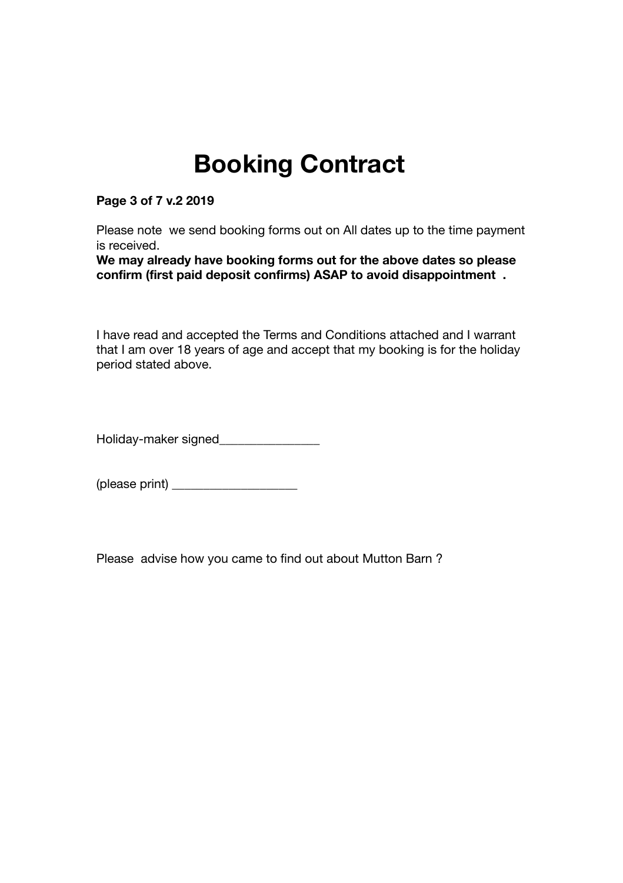# **Booking Contract**

**Page 3 of 7 v.2 2019**

Please note we send booking forms out on All dates up to the time payment is received.

**We may already have booking forms out for the above dates so please confirm (first paid deposit confirms) ASAP to avoid disappointment .**

I have read and accepted the Terms and Conditions attached and I warrant that I am over 18 years of age and accept that my booking is for the holiday period stated above.

Holiday-maker signed\_\_\_\_\_\_\_\_\_\_\_\_\_\_\_\_

(please print) \_\_\_\_\_\_\_\_\_\_\_\_\_\_\_\_\_\_\_\_

Please advise how you came to find out about Mutton Barn ?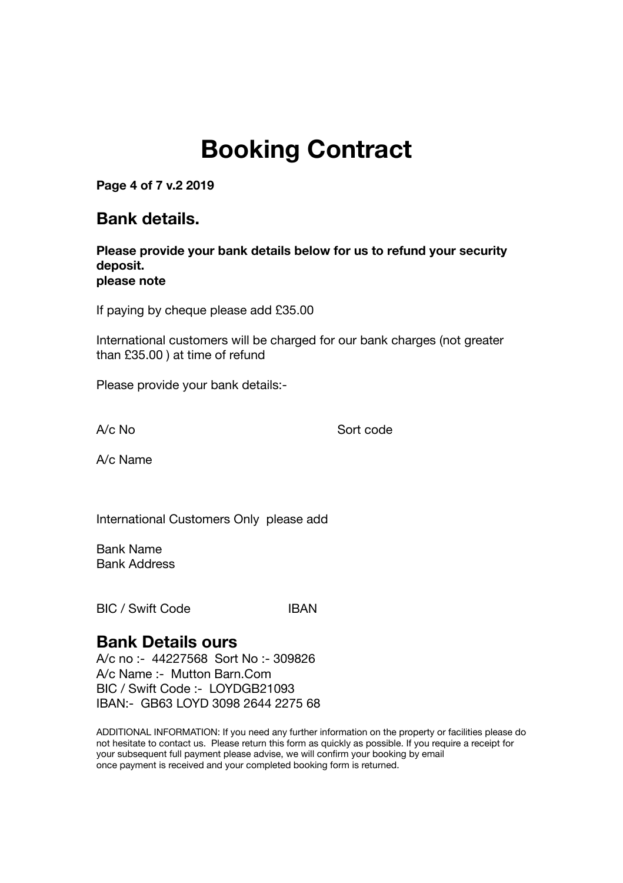# **Booking Contract**

**Page 4 of 7 v.2 2019**

## **Bank details.**

**Please provide your bank details below for us to refund your security deposit. please note**

If paying by cheque please add £35.00

International customers will be charged for our bank charges (not greater than £35.00 ) at time of refund

Please provide your bank details:-

A/c No Sort code

A/c Name

International Customers Only please add

Bank Name Bank Address

BIC / Swift Code IBAN

## **Bank Details ours**

A/c no :- 44227568 Sort No :- 309826 A/c Name :- Mutton Barn.Com BIC / Swift Code :- LOYDGB21093 IBAN:- GB63 LOYD 3098 2644 2275 68

ADDITIONAL INFORMATION: If you need any further information on the property or facilities please do not hesitate to contact us. Please return this form as quickly as possible. If you require a receipt for your subsequent full payment please advise, we will confirm your booking by email once payment is received and your completed booking form is returned.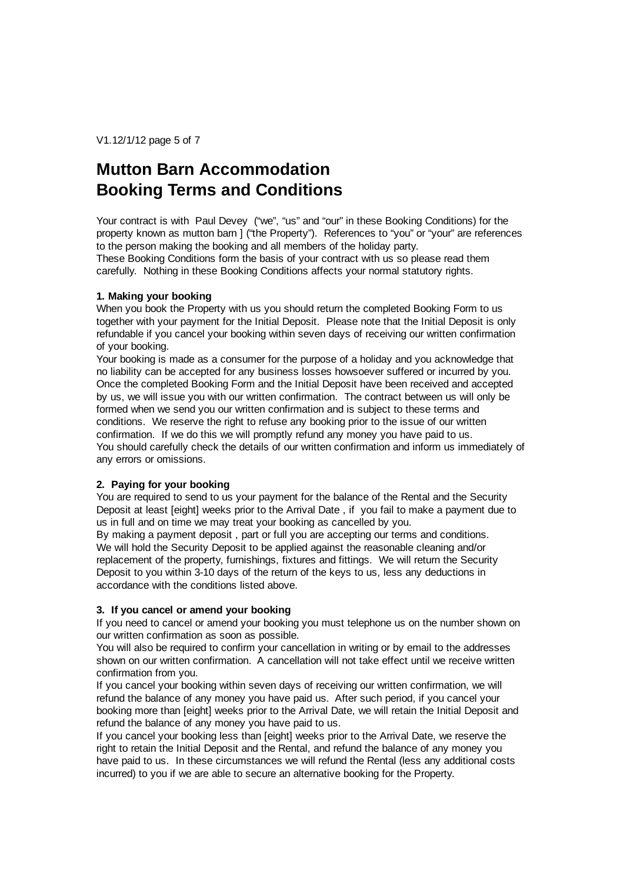V1.12/1/12 page 5 of 7

## **Mutton Barn Accommodation Booking Terms and Conditions**

Your contract is with Paul Devey ("we", "us" and "our" in these Booking Conditions) for the property known as mutton barn ] ("the Property"). References to "you" or "your" are references to the person making the booking and all members of the holiday party.

These Booking Conditions form the basis of your contract with us so please read them carefully. Nothing in these Booking Conditions affects your normal statutory rights.

### **1. Making your booking**

When you book the Property with us you should return the completed Booking Form to us together with your payment for the Initial Deposit. Please note that the Initial Deposit is only refundable if you cancel your booking within seven days of receiving our written confirmation of your booking.

Your booking is made as a consumer for the purpose of a holiday and you acknowledge that no liability can be accepted for any business losses howsoever suffered or incurred by you. Once the completed Booking Form and the Initial Deposit have been received and accepted by us, we will issue you with our written confirmation. The contract between us will only be formed when we send you our written confirmation and is subject to these terms and conditions. We reserve the right to refuse any booking prior to the issue of our written confirmation. If we do this we will promptly refund any money you have paid to us. You should carefully check the details of our written confirmation and inform us immediately of any errors or omissions.

## **2. Paying for your booking**

You are required to send to us your payment for the balance of the Rental and the Security Deposit at least [eight] weeks prior to the Arrival Date , if you fail to make a payment due to us in full and on time we may treat your booking as cancelled by you.

By making a payment deposit , part or full you are accepting our terms and conditions. We will hold the Security Deposit to be applied against the reasonable cleaning and/or replacement of the property, furnishings, fixtures and fittings. We will return the Security Deposit to you within 3-10 days of the return of the keys to us, less any deductions in accordance with the conditions listed above.

## **3. If you cancel or amend your booking**

If you need to cancel or amend your booking you must telephone us on the number shown on our written confirmation as soon as possible.

You will also be required to confirm your cancellation in writing or by email to the addresses shown on our written confirmation. A cancellation will not take effect until we receive written confirmation from you.

If you cancel your booking within seven days of receiving our written confirmation, we will refund the balance of any money you have paid us. After such period, if you cancel your booking more than [eight] weeks prior to the Arrival Date, we will retain the Initial Deposit and refund the balance of any money you have paid to us.

If you cancel your booking less than [eight] weeks prior to the Arrival Date, we reserve the right to retain the Initial Deposit and the Rental, and refund the balance of any money you have paid to us. In these circumstances we will refund the Rental (less any additional costs incurred) to you if we are able to secure an alternative booking for the Property.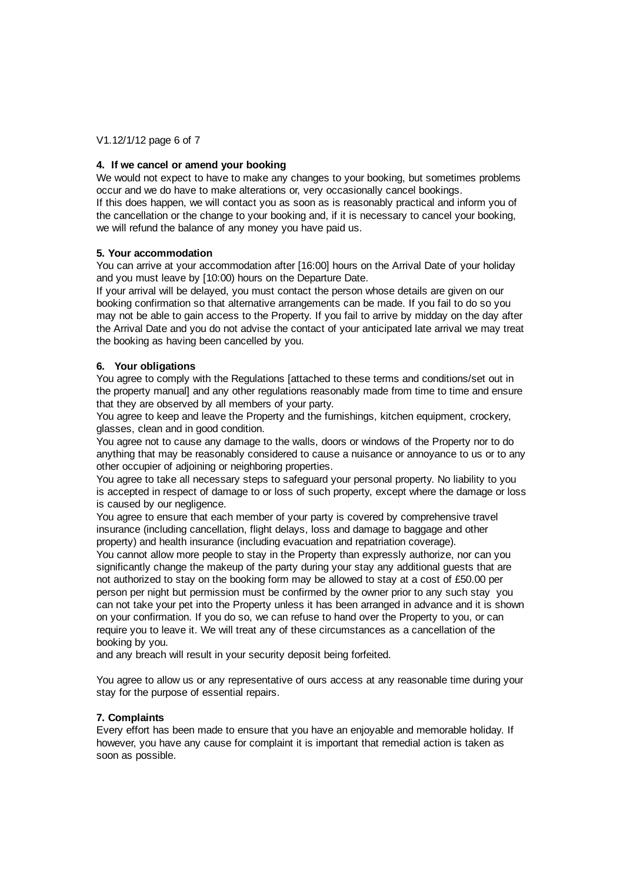V1.12/1/12 page 6 of 7

## **4. If we cancel or amend your booking**

We would not expect to have to make any changes to your booking, but sometimes problems occur and we do have to make alterations or, very occasionally cancel bookings. If this does happen, we will contact you as soon as is reasonably practical and inform you of the cancellation or the change to your booking and, if it is necessary to cancel your booking, we will refund the balance of any money you have paid us.

### **5. Your accommodation**

You can arrive at your accommodation after [16:00] hours on the Arrival Date of your holiday and you must leave by [10:00) hours on the Departure Date.

If your arrival will be delayed, you must contact the person whose details are given on our booking confirmation so that alternative arrangements can be made. If you fail to do so you may not be able to gain access to the Property. If you fail to arrive by midday on the day after the Arrival Date and you do not advise the contact of your anticipated late arrival we may treat the booking as having been cancelled by you.

## **6. Your obligations**

You agree to comply with the Regulations [attached to these terms and conditions/set out in the property manual] and any other regulations reasonably made from time to time and ensure that they are observed by all members of your party.

You agree to keep and leave the Property and the furnishings, kitchen equipment, crockery, glasses, clean and in good condition.

You agree not to cause any damage to the walls, doors or windows of the Property nor to do anything that may be reasonably considered to cause a nuisance or annoyance to us or to any other occupier of adjoining or neighboring properties.

You agree to take all necessary steps to safeguard your personal property. No liability to you is accepted in respect of damage to or loss of such property, except where the damage or loss is caused by our negligence.

You agree to ensure that each member of your party is covered by comprehensive travel insurance (including cancellation, flight delays, loss and damage to baggage and other property) and health insurance (including evacuation and repatriation coverage).

You cannot allow more people to stay in the Property than expressly authorize, nor can you significantly change the makeup of the party during your stay any additional guests that are not authorized to stay on the booking form may be allowed to stay at a cost of £50.00 per person per night but permission must be confirmed by the owner prior to any such stay you can not take your pet into the Property unless it has been arranged in advance and it is shown on your confirmation. If you do so, we can refuse to hand over the Property to you, or can require you to leave it. We will treat any of these circumstances as a cancellation of the booking by you.

and any breach will result in your security deposit being forfeited.

You agree to allow us or any representative of ours access at any reasonable time during your stay for the purpose of essential repairs.

## **7. Complaints**

Every effort has been made to ensure that you have an enjoyable and memorable holiday. If however, you have any cause for complaint it is important that remedial action is taken as soon as possible.